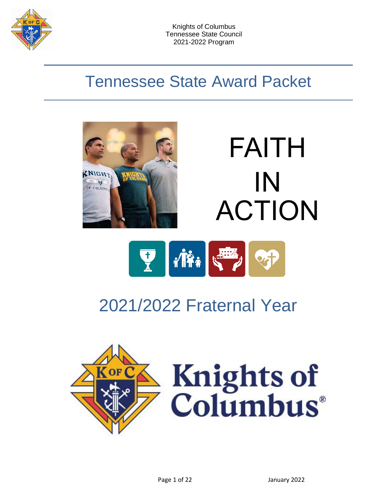

# Tennessee State Award Packet







# 2021/2022 Fraternal Year

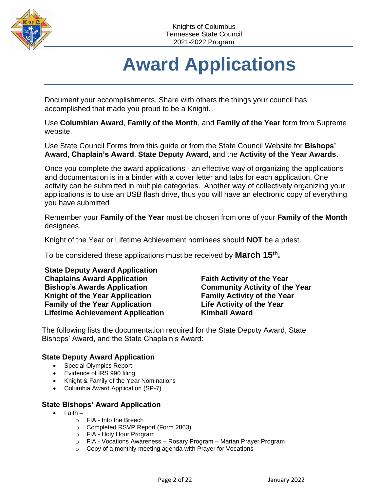

# **Award Applications**

Document your accomplishments. Share with others the things your council has accomplished that made you proud to be a Knight.

Use **Columbian Award**, **Family of the Month**, and **Family of the Year** form from Supreme website.

Use State Council Forms from this guide or from the State Council Website for **Bishops' Award**, **Chaplain's Award**, **State Deputy Award**, and the **Activity of the Year Awards**.

Once you complete the award applications - an effective way of organizing the applications and documentation is in a binder with a cover letter and tabs for each application. One activity can be submitted in multiple categories. Another way of collectively organizing your applications is to use an USB flash drive, thus you will have an electronic copy of everything you have submitted

Remember your **Family of the Year** must be chosen from one of your **Family of the Month** designees.

Knight of the Year or Lifetime Achievement nominees should **NOT** be a priest.

To be considered these applications must be received by **March 15<sup>th</sup>**.

**State Deputy Award Application Chaplains Award Application Bishop's Awards Application Knight of the Year Application Family of the Year Application Lifetime Achievement Application**

**Faith Activity of the Year Community Activity of the Year Family Activity of the Year Life Activity of the Year Kimball Award**

The following lists the documentation required for the State Deputy Award, State Bishops' Award, and the State Chaplain's Award:

#### **State Deputy Award Application**

- Special Olympics Report
- Evidence of IRS 990 filing
- Knight & Family of the Year Nominations
- Columbia Award Application (SP-7)

#### **State Bishops' Award Application**

- Faith
	- o FIA Into the Breech
	- o Completed RSVP Report (Form 2863)
	- o FIA Holy Hour Program
	- o FIA Vocations Awareness Rosary Program Marian Prayer Program
	- o Copy of a monthly meeting agenda with Prayer for Vocations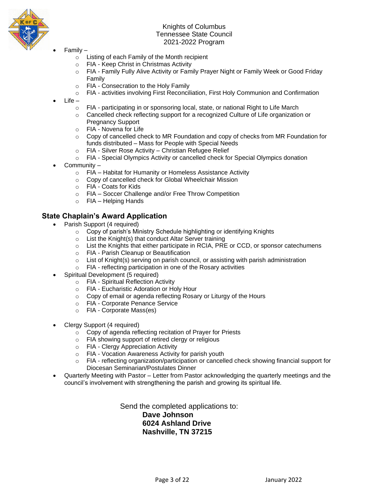

- Family
	- o Listing of each Family of the Month recipient
	- o FIA Keep Christ in Christmas Activity
	- o FIA Family Fully Alive Activity or Family Prayer Night or Family Week or Good Friday Family
	- o FIA Consecration to the Holy Family
	- o FIA activities involving First Reconciliation, First Holy Communion and Confirmation
- $Life$ 
	- o FIA participating in or sponsoring local, state, or national Right to Life March
	- $\circ$  Cancelled check reflecting support for a recognized Culture of Life organization or Pregnancy Support
	- o FIA Novena for Life
	- $\circ$  Copy of cancelled check to MR Foundation and copy of checks from MR Foundation for funds distributed – Mass for People with Special Needs
	- o FIA Silver Rose Activity Christian Refugee Relief
	- o FIA Special Olympics Activity or cancelled check for Special Olympics donation
- Community
	- o FIA Habitat for Humanity or Homeless Assistance Activity
	- o Copy of cancelled check for Global Wheelchair Mission
	- o FIA Coats for Kids
	- o FIA Soccer Challenge and/or Free Throw Competition
	- o FIA Helping Hands

#### **State Chaplain's Award Application**

- Parish Support (4 required)
	- o Copy of parish's Ministry Schedule highlighting or identifying Knights
	- $\circ$  List the Knight(s) that conduct Altar Server training
	- o List the Knights that either participate in RCIA, PRE or CCD, or sponsor catechumens
	- o FIA Parish Cleanup or Beautification
	- $\circ$  List of Knight(s) serving on parish council, or assisting with parish administration
	- o FIA reflecting participation in one of the Rosary activities
- Spiritual Development (5 required)
	- o FIA Spiritual Reflection Activity
	- o FIA Eucharistic Adoration or Holy Hour
	- o Copy of email or agenda reflecting Rosary or Liturgy of the Hours
	- o FIA Corporate Penance Service
	- o FIA Corporate Mass(es)
- Clergy Support (4 required)
	- o Copy of agenda reflecting recitation of Prayer for Priests
	- o FIA showing support of retired clergy or religious
	- o FIA Clergy Appreciation Activity
	- o FIA Vocation Awareness Activity for parish youth
	- $\circ$  FIA reflecting organization/participation or cancelled check showing financial support for Diocesan Seminarian/Postulates Dinner
- Quarterly Meeting with Pastor Letter from Pastor acknowledging the quarterly meetings and the council's involvement with strengthening the parish and growing its spiritual life.

Send the completed applications to: **Dave Johnson 6024 Ashland Drive Nashville, TN 37215**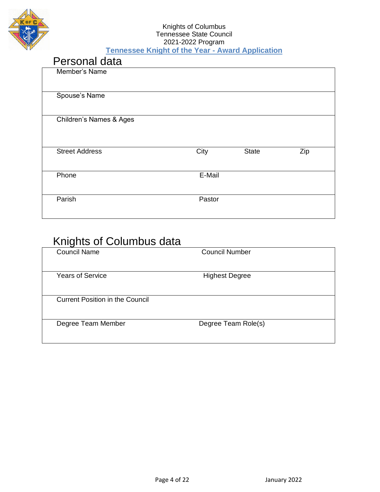

#### Knights of Columbus Tennessee State Council 2021-2022 Program **Tennessee Knight of the Year - Award Application**

| Personal data                      |        |              |     |
|------------------------------------|--------|--------------|-----|
| Member's Name                      |        |              |     |
| Spouse's Name                      |        |              |     |
| <b>Children's Names &amp; Ages</b> |        |              |     |
| <b>Street Address</b>              | City   | <b>State</b> | Zip |
| Phone                              | E-Mail |              |     |
| Parish                             | Pastor |              |     |

### Knights of Columbus data

| <b>Council Name</b>                    | <b>Council Number</b> |  |
|----------------------------------------|-----------------------|--|
| <b>Years of Service</b>                | <b>Highest Degree</b> |  |
| <b>Current Position in the Council</b> |                       |  |
| Degree Team Member                     | Degree Team Role(s)   |  |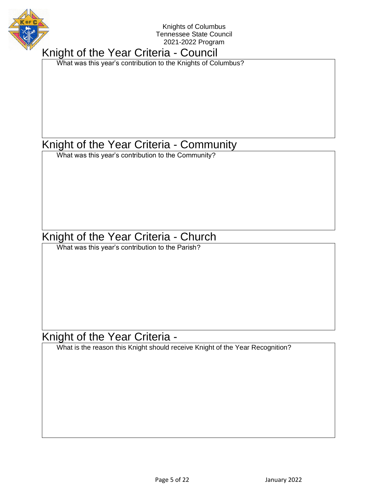

### Knight of the Year Criteria - Council

What was this year's contribution to the Knights of Columbus?

### Knight of the Year Criteria - Community

What was this year's contribution to the Community?

### Knight of the Year Criteria - Church

What was this year's contribution to the Parish?

### Knight of the Year Criteria -

What is the reason this Knight should receive Knight of the Year Recognition?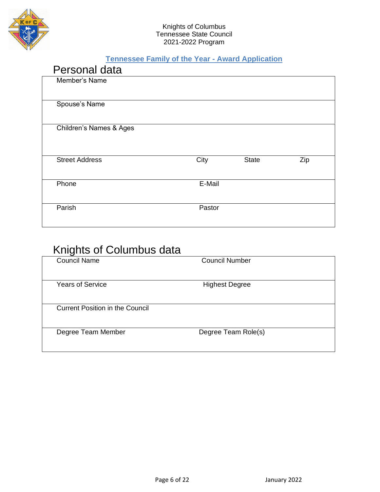

#### **Tennessee Family of the Year - Award Application**

| Personal data                      |        |              |     |
|------------------------------------|--------|--------------|-----|
| Member's Name                      |        |              |     |
|                                    |        |              |     |
| Spouse's Name                      |        |              |     |
|                                    |        |              |     |
| <b>Children's Names &amp; Ages</b> |        |              |     |
|                                    |        |              |     |
|                                    |        |              |     |
| <b>Street Address</b>              | City   | <b>State</b> | Zip |
|                                    |        |              |     |
| Phone                              | E-Mail |              |     |
|                                    |        |              |     |
| Parish                             | Pastor |              |     |
|                                    |        |              |     |

### Knights of Columbus data

| iniyinə vi volunludə dala              |                       |  |
|----------------------------------------|-----------------------|--|
| <b>Council Name</b>                    | <b>Council Number</b> |  |
| <b>Years of Service</b>                | <b>Highest Degree</b> |  |
| <b>Current Position in the Council</b> |                       |  |
| Degree Team Member                     | Degree Team Role(s)   |  |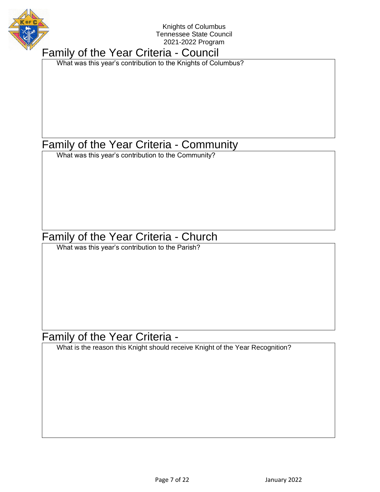

### Family of the Year Criteria - Council

What was this year's contribution to the Knights of Columbus?

### Family of the Year Criteria - Community

What was this year's contribution to the Community?

### Family of the Year Criteria - Church

What was this year's contribution to the Parish?

### Family of the Year Criteria -

What is the reason this Knight should receive Knight of the Year Recognition?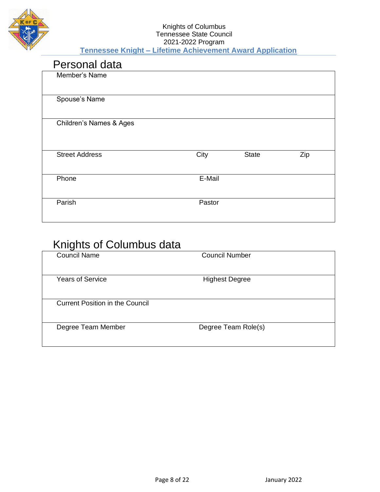

#### Knights of Columbus Tennessee State Council 2021-2022 Program **Tennessee Knight – Lifetime Achievement Award Application**

| Personal data                      |        |              |     |  |
|------------------------------------|--------|--------------|-----|--|
| Member's Name                      |        |              |     |  |
| Spouse's Name                      |        |              |     |  |
| <b>Children's Names &amp; Ages</b> |        |              |     |  |
| <b>Street Address</b>              | City   | <b>State</b> | Zip |  |
| Phone                              | E-Mail |              |     |  |
| Parish                             | Pastor |              |     |  |

### Knights of Columbus data

| ingino oi oolumbad dala                |                       |  |
|----------------------------------------|-----------------------|--|
| <b>Council Name</b>                    | <b>Council Number</b> |  |
| <b>Years of Service</b>                | <b>Highest Degree</b> |  |
| <b>Current Position in the Council</b> |                       |  |
| Degree Team Member                     | Degree Team Role(s)   |  |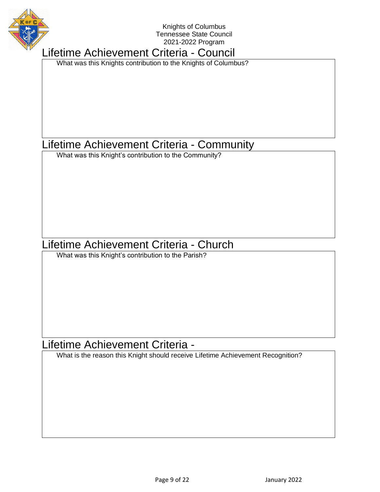

### Lifetime Achievement Criteria - Council

What was this Knights contribution to the Knights of Columbus?

### Lifetime Achievement Criteria - Community

What was this Knight's contribution to the Community?

### Lifetime Achievement Criteria - Church

What was this Knight's contribution to the Parish?

### Lifetime Achievement Criteria -

What is the reason this Knight should receive Lifetime Achievement Recognition?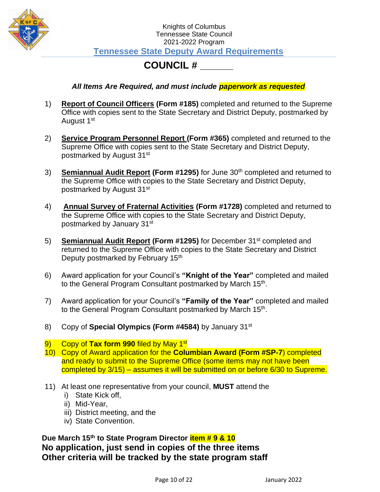

#### Knights of Columbus Tennessee State Council 2021-2022 Program **Tennessee State Deputy Award Requirements**

### **COUNCIL # \_\_\_\_\_\_**

#### *All Items Are Required, and must include paperwork as requested*

- 1) **Report of Council Officers (Form #185)** completed and returned to the Supreme Office with copies sent to the State Secretary and District Deputy, postmarked by August 1<sup>st</sup>
- 2) **Service Program Personnel Report (Form #365)** completed and returned to the Supreme Office with copies sent to the State Secretary and District Deputy, postmarked by August 31st
- 3) **Semiannual Audit Report (Form #1295)** for June 30th completed and returned to the Supreme Office with copies to the State Secretary and District Deputy, postmarked by August 31st
- 4) **Annual Survey of Fraternal Activities (Form #1728)** completed and returned to the Supreme Office with copies to the State Secretary and District Deputy, postmarked by January 31st
- 5) **Semiannual Audit Report (Form #1295)** for December 31st completed and returned to the Supreme Office with copies to the State Secretary and District Deputy postmarked by February 15<sup>th</sup>
- 6) Award application for your Council's **"Knight of the Year"** completed and mailed to the General Program Consultant postmarked by March 15<sup>th</sup>.
- 7) Award application for your Council's **"Family of the Year"** completed and mailed to the General Program Consultant postmarked by March 15<sup>th</sup>.
- 8) Copy of **Special Olympics (Form #4584)** by January 31st
- 9) Copy of **Tax form 990** filed by May 1st
- 10) Copy of Award application for the **Columbian Award (Form #SP-7**) completed and ready to submit to the Supreme Office (some items may not have been completed by 3/15) – assumes it will be submitted on or before 6/30 to Supreme.
- 11) At least one representative from your council, **MUST** attend the
	- i) State Kick off,
	- ii) Mid-Year,
	- iii) District meeting, and the
	- iv) State Convention.

**Due March 15th to State Program Director item # 9 & 10 No application, just send in copies of the three items Other criteria will be tracked by the state program staff**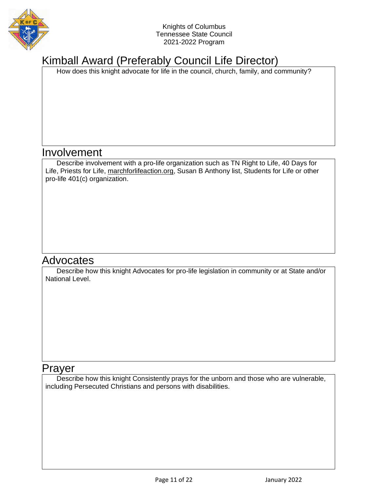

### Kimball Award (Preferably Council Life Director)

How does this knight advocate for life in the council, church, family, and community?

### Involvement

Describe involvement with a pro-life organization such as TN Right to Life, 40 Days for Life, Priests for Life, [marchforlifeaction.org,](http://marchforlifeaction.org/) Susan B Anthony list, Students for Life or other pro-life 401(c) organization.

### **Advocates**

Describe how this knight Advocates for pro-life legislation in community or at State and/or National Level.

#### Prayer

Describe how this knight Consistently prays for the unborn and those who are vulnerable, including Persecuted Christians and persons with disabilities.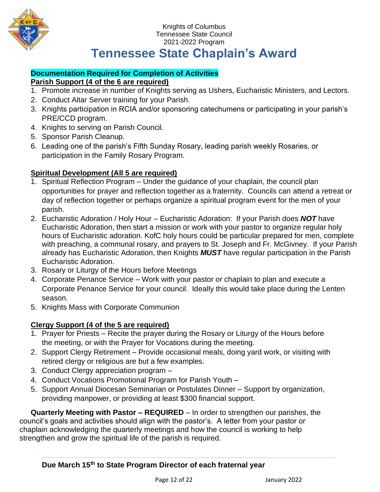

### **Tennessee State Chaplain's Award**

#### **Documentation Required for Completion of Activities**

#### **Parish Support (4 of the 6 are required)**

- 1. Promote increase in number of Knights serving as Ushers, Eucharistic Ministers, and Lectors.
- 2. Conduct Altar Server training for your Parish.
- 3. Knights participation in RCIA and/or sponsoring catechumens or participating in your parish's PRE/CCD program.
- 4. Knights to serving on Parish Council.
- 5. Sponsor Parish Cleanup.
- 6. Leading one of the parish's Fifth Sunday Rosary, leading parish weekly Rosaries, or participation in the Family Rosary Program.

#### **Spiritual Development (All 5 are required)**

- 1. Spiritual Reflection Program Under the guidance of your chaplain, the council plan opportunities for prayer and reflection together as a fraternity. Councils can attend a retreat or day of reflection together or perhaps organize a spiritual program event for the men of your parish.
- 2. Eucharistic Adoration / Holy Hour Eucharistic Adoration: If your Parish does *NOT* have Eucharistic Adoration, then start a mission or work with your pastor to organize regular holy hours of Eucharistic adoration. KofC holy hours could be particular prepared for men, complete with preaching, a communal rosary, and prayers to St. Joseph and Fr. McGivney. If your Parish already has Eucharistic Adoration, then Knights *MUST* have regular participation in the Parish Eucharistic Adoration.
- 3. Rosary or Liturgy of the Hours before Meetings
- 4. Corporate Penance Service Work with your pastor or chaplain to plan and execute a Corporate Penance Service for your council. Ideally this would take place during the Lenten season.
- 5. Knights Mass with Corporate Communion

#### **Clergy Support (4 of the 5 are required)**

- 1. Prayer for Priests Recite the prayer during the Rosary or Liturgy of the Hours before the meeting, or with the Prayer for Vocations during the meeting.
- 2. Support Clergy Retirement Provide occasional meals, doing yard work, or visiting with retired clergy or religious are but a few examples.
- 3. Conduct Clergy appreciation program –
- 4. Conduct Vocations Promotional Program for Parish Youth –
- 5. Support Annual Diocesan Seminarian or Postulates Dinner Support by organization, providing manpower, or providing at least \$300 financial support.

**Quarterly Meeting with Pastor – REQUIRED** – In order to strengthen our parishes, the council's goals and activities should align with the pastor's. A letter from your pastor or chaplain acknowledging the quarterly meetings and how the council is working to help strengthen and grow the spiritual life of the parish is required.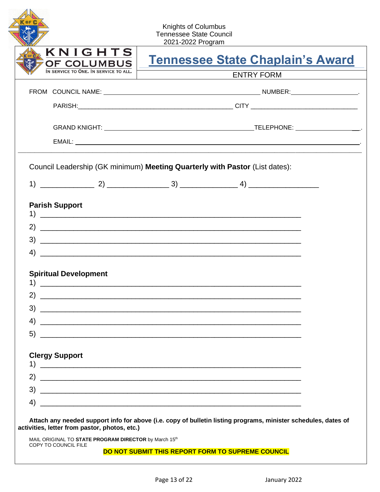|                                                                         | Knights of Columbus<br><b>Tennessee State Council</b><br>2021-2022 Program                                             |
|-------------------------------------------------------------------------|------------------------------------------------------------------------------------------------------------------------|
| KNIGHTS<br>OF COLUMBUS                                                  | <b>Tennessee State Chaplain's Award</b>                                                                                |
| IN SERVICE TO ONE. IN SERVICE TO ALL.                                   | <b>ENTRY FORM</b>                                                                                                      |
|                                                                         |                                                                                                                        |
|                                                                         |                                                                                                                        |
|                                                                         |                                                                                                                        |
|                                                                         |                                                                                                                        |
| <b>Parish Support</b>                                                   |                                                                                                                        |
|                                                                         |                                                                                                                        |
|                                                                         |                                                                                                                        |
|                                                                         | $\left(4\right)$ $\overline{\phantom{a}}$                                                                              |
| 2)                                                                      |                                                                                                                        |
| 3)                                                                      | <u> 2000 - 2000 - 2000 - 2000 - 2000 - 2000 - 2000 - 2000 - 2000 - 2000 - 2000 - 2000 - 2000 - 2000 - 2000 - 200</u>   |
| 4)<br>5)                                                                | <u> 1989 - Johann Stoff, deutscher Stoff, der Stoff, der Stoff, der Stoff, der Stoff, der Stoff, der Stoff, der S</u>  |
| 1)                                                                      |                                                                                                                        |
|                                                                         | <u> 1980 - Jan Barnett, fransk politiker (d. 1980)</u>                                                                 |
|                                                                         | <u> 2000 - Andreas Andreas Andreas Andreas Andreas Andreas Andreas Andreas Andreas Andreas Andreas Andreas Andreas</u> |
| <b>Spiritual Development</b><br><b>Clergy Support</b><br>2)<br>3)<br>4) |                                                                                                                        |

**DO NOT SUBMIT THIS REPORT FORM TO SUPREME COUNCIL**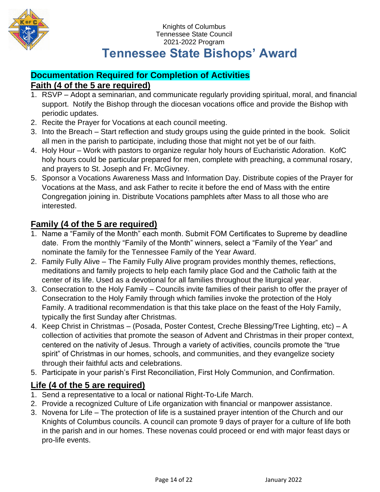

### **Documentation Required for Completion of Activities Faith (4 of the 5 are required)**

- 1. RSVP Adopt a seminarian, and communicate regularly providing spiritual, moral, and financial support. Notify the Bishop through the diocesan vocations office and provide the Bishop with periodic updates.
- 2. Recite the Prayer for Vocations at each council meeting.
- 3. Into the Breach Start reflection and study groups using the guide printed in the book. Solicit all men in the parish to participate, including those that might not yet be of our faith.
- 4. Holy Hour Work with pastors to organize regular holy hours of Eucharistic Adoration. KofC holy hours could be particular prepared for men, complete with preaching, a communal rosary, and prayers to St. Joseph and Fr. McGivney.
- 5. Sponsor a Vocations Awareness Mass and Information Day. Distribute copies of the Prayer for Vocations at the Mass, and ask Father to recite it before the end of Mass with the entire Congregation joining in. Distribute Vocations pamphlets after Mass to all those who are interested.

### **Family (4 of the 5 are required)**

- 1. Name a "Family of the Month" each month. Submit FOM Certificates to Supreme by deadline date. From the monthly "Family of the Month" winners, select a "Family of the Year" and nominate the family for the Tennessee Family of the Year Award.
- 2. Family Fully Alive The Family Fully Alive program provides monthly themes, reflections, meditations and family projects to help each family place God and the Catholic faith at the center of its life. Used as a devotional for all families throughout the liturgical year.
- 3. Consecration to the Holy Family Councils invite families of their parish to offer the prayer of Consecration to the Holy Family through which families invoke the protection of the Holy Family. A traditional recommendation is that this take place on the feast of the Holy Family, typically the first Sunday after Christmas.
- 4. Keep Christ in Christmas (Posada, Poster Contest, Creche Blessing/Tree Lighting, etc) A collection of activities that promote the season of Advent and Christmas in their proper context, centered on the nativity of Jesus. Through a variety of activities, councils promote the "true spirit" of Christmas in our homes, schools, and communities, and they evangelize society through their faithful acts and celebrations.
- 5. Participate in your parish's First Reconciliation, First Holy Communion, and Confirmation.

### **Life (4 of the 5 are required)**

- 1. Send a representative to a local or national Right-To-Life March.
- 2. Provide a recognized Culture of Life organization with financial or manpower assistance.
- 3. Novena for Life The protection of life is a sustained prayer intention of the Church and our Knights of Columbus councils. A council can promote 9 days of prayer for a culture of life both in the parish and in our homes. These novenas could proceed or end with major feast days or pro-life events.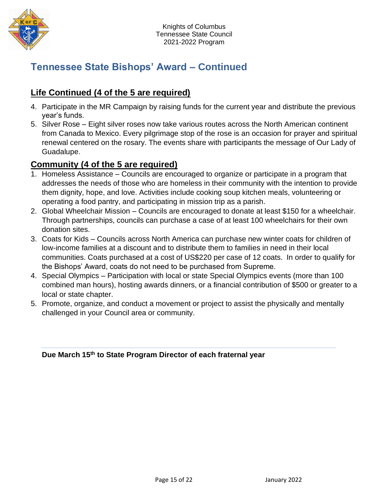

### **Tennessee State Bishops' Award – Continued**

### **Life Continued (4 of the 5 are required)**

- 4. Participate in the MR Campaign by raising funds for the current year and distribute the previous year's funds.
- 5. Silver Rose Eight silver roses now take various routes across the North American continent from Canada to Mexico. Every pilgrimage stop of the rose is an occasion for prayer and spiritual renewal centered on the rosary. The events share with participants the message of Our Lady of Guadalupe.

### **Community (4 of the 5 are required)**

- 1. Homeless Assistance Councils are encouraged to organize or participate in a program that addresses the needs of those who are homeless in their community with the intention to provide them dignity, hope, and love. Activities include cooking soup kitchen meals, volunteering or operating a food pantry, and participating in mission trip as a parish.
- 2. Global Wheelchair Mission Councils are encouraged to donate at least \$150 for a wheelchair. Through partnerships, councils can purchase a case of at least 100 wheelchairs for their own donation sites.
- 3. Coats for Kids Councils across North America can purchase new winter coats for children of low-income families at a discount and to distribute them to families in need in their local communities. Coats purchased at a cost of US\$220 per case of 12 coats. In order to qualify for the Bishops' Award, coats do not need to be purchased from Supreme.
- 4. Special Olympics Participation with local or state Special Olympics events (more than 100 combined man hours), hosting awards dinners, or a financial contribution of \$500 or greater to a local or state chapter.
- 5. Promote, organize, and conduct a movement or project to assist the physically and mentally challenged in your Council area or community.

#### **Due March 15 th to State Program Director of each fraternal year**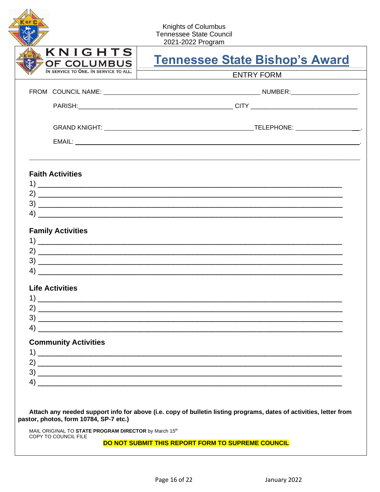| OF COLUMBUS                                                       | <b>Tennessee State Bishop's Award</b>                                                                   |
|-------------------------------------------------------------------|---------------------------------------------------------------------------------------------------------|
| IN SERVICE TO ONE. IN SERVICE TO ALL.                             | <b>ENTRY FORM</b>                                                                                       |
|                                                                   |                                                                                                         |
|                                                                   |                                                                                                         |
|                                                                   |                                                                                                         |
|                                                                   |                                                                                                         |
| <b>Faith Activities</b>                                           |                                                                                                         |
|                                                                   |                                                                                                         |
|                                                                   |                                                                                                         |
|                                                                   |                                                                                                         |
| <b>Family Activities</b>                                          |                                                                                                         |
|                                                                   |                                                                                                         |
|                                                                   | <u> 2000 - Jan Barnett, amerikansk politik (d. 1982)</u>                                                |
|                                                                   |                                                                                                         |
|                                                                   |                                                                                                         |
|                                                                   |                                                                                                         |
|                                                                   |                                                                                                         |
|                                                                   |                                                                                                         |
|                                                                   |                                                                                                         |
|                                                                   |                                                                                                         |
| 4)<br><b>Life Activities</b><br><b>Community Activities</b><br>4) | $2)$ $\overline{\phantom{a}}$<br><u> 1989 - Jan Samuel Barbara, margaret eta biztanleria (h. 1988).</u> |

#### DO NOT SUBMIT THIS REPORT FORM TO SUPREME COUNCIL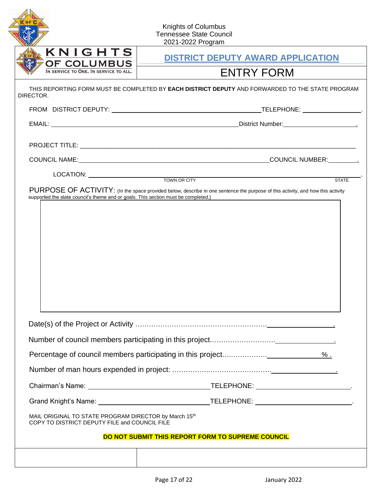|                                                                                                        | <b>Knights of Columbus</b><br><b>Tennessee State Council</b><br>2021-2022 Program                |  |
|--------------------------------------------------------------------------------------------------------|--------------------------------------------------------------------------------------------------|--|
| KNIGHTS                                                                                                | <b>DISTRICT DEPUTY AWARD APPLICATION</b>                                                         |  |
| OF COLUMBUS<br>IN SERVICE TO ONE. IN SERVICE TO ALL.                                                   | <b>ENTRY FORM</b>                                                                                |  |
| DIRECTOR.                                                                                              | THIS REPORTING FORM MUST BE COMPLETED BY EACH DISTRICT DEPUTY AND FORWARDED TO THE STATE PROGRAM |  |
|                                                                                                        |                                                                                                  |  |
|                                                                                                        |                                                                                                  |  |
|                                                                                                        |                                                                                                  |  |
|                                                                                                        |                                                                                                  |  |
| LOCATION: <u>CONSIDERING TOWN OR CITY</u>                                                              | <b>STATE</b>                                                                                     |  |
| supported the state council's theme and or goals. This section must be completed.)                     |                                                                                                  |  |
|                                                                                                        |                                                                                                  |  |
|                                                                                                        |                                                                                                  |  |
|                                                                                                        |                                                                                                  |  |
|                                                                                                        |                                                                                                  |  |
|                                                                                                        |                                                                                                  |  |
| MAIL ORIGINAL TO STATE PROGRAM DIRECTOR by March 15th<br>COPY TO DISTRICT DEPUTY FILE and COUNCIL FILE |                                                                                                  |  |
|                                                                                                        | DO NOT SUBMIT THIS REPORT FORM TO SUPREME COUNCIL                                                |  |
|                                                                                                        |                                                                                                  |  |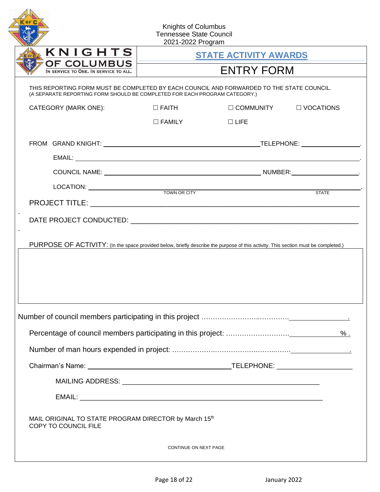| KNIGHTS                                                                                                                                                                 |                  | <b>STATE ACTIVITY AWARDS</b> |              |
|-------------------------------------------------------------------------------------------------------------------------------------------------------------------------|------------------|------------------------------|--------------|
| <b>OF COLUMBUS</b><br>IN SERVICE TO ONE. IN SERVICE TO ALL.                                                                                                             |                  | <b>ENTRY FORM</b>            |              |
| THIS REPORTING FORM MUST BE COMPLETED BY EACH COUNCIL AND FORWARDED TO THE STATE COUNCIL.<br>(A SEPARATE REPORTING FORM SHOULD BE COMPLETED FOR EACH PROGRAM CATEGORY.) |                  |                              |              |
| CATEGORY (MARK ONE):                                                                                                                                                    | $\square$ FAITH  | $\Box$ COMMUNITY             | □ VOCATIONS  |
|                                                                                                                                                                         | $\square$ FAMILY | $\Box$ LIFE                  |              |
|                                                                                                                                                                         |                  |                              |              |
|                                                                                                                                                                         |                  |                              |              |
|                                                                                                                                                                         |                  |                              |              |
|                                                                                                                                                                         |                  | LOCATION: TOWN OR CITY       | <b>STATE</b> |
|                                                                                                                                                                         |                  |                              |              |
| PURPOSE OF ACTIVITY: (In the space provided below, briefly describe the purpose of this activity. This section must be completed.)                                      |                  |                              |              |
|                                                                                                                                                                         |                  |                              |              |
|                                                                                                                                                                         |                  |                              |              |
|                                                                                                                                                                         |                  |                              |              |
|                                                                                                                                                                         |                  |                              |              |
|                                                                                                                                                                         |                  |                              |              |
|                                                                                                                                                                         |                  |                              |              |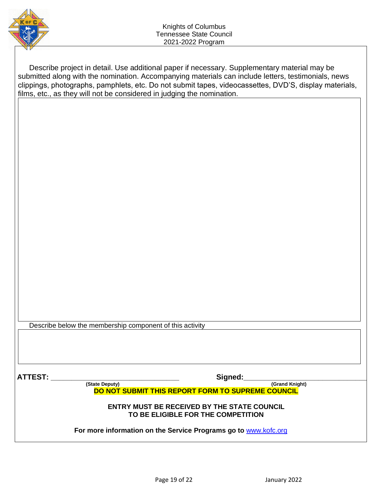

Describe project in detail. Use additional paper if necessary. Supplementary material may be submitted along with the nomination. Accompanying materials can include letters, testimonials, news clippings, photographs, pamphlets, etc. Do not submit tapes, videocassettes, DVD'S, display materials, films, etc., as they will not be considered in judging the nomination.

Describe below the membership component of this activity

 **ATTEST: \_\_\_\_\_\_\_\_\_\_\_\_\_\_\_\_\_\_\_\_\_\_\_\_\_\_\_\_\_\_\_ Signed:\_\_\_\_\_\_\_\_\_\_\_\_\_\_\_\_\_\_\_\_\_\_\_\_\_\_\_\_\_\_\_\_\_**

**(State Deputy) (Grand Knight) DO NOT SUBMIT THIS REPORT FORM TO SUPREME COUNCIL**

**ENTRY MUST BE RECEIVED BY THE STATE COUNCIL TO BE ELIGIBLE FOR THE COMPETITION**

**For more information on the Service Programs go to** [www.kofc.org](http://www.kofc.org/)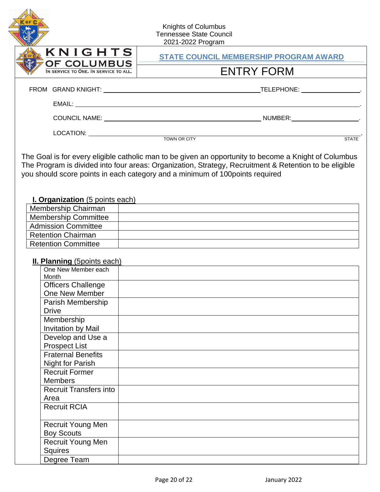|                                                                    | Knights of Columbus<br><b>Tennessee State Council</b><br>2021-2022 Program                                            |
|--------------------------------------------------------------------|-----------------------------------------------------------------------------------------------------------------------|
| KNIGHTS                                                            | <b>STATE COUNCIL MEMBERSHIP PROGRAM AWARD</b>                                                                         |
| OF COLUMBUS<br>IN SERVICE TO ONE. IN SERVICE TO ALL.               | <b>ENTRY FORM</b>                                                                                                     |
|                                                                    |                                                                                                                       |
|                                                                    |                                                                                                                       |
|                                                                    |                                                                                                                       |
|                                                                    |                                                                                                                       |
|                                                                    | <b>STATE</b><br>The Goal is for every eligible catholic man to be given an opportunity to become a Knight of Columbus |
| <b>I. Organization</b> (5 points each)                             | you should score points in each category and a minimum of 100 points required                                         |
| Membership Chairman                                                |                                                                                                                       |
| <b>Membership Committee</b>                                        |                                                                                                                       |
| <b>Admission Committee</b>                                         |                                                                                                                       |
| <b>Retention Chairman</b><br><b>Retention Committee</b>            |                                                                                                                       |
| <b>II. Planning (5points each)</b><br>One New Member each<br>Month |                                                                                                                       |
| <b>Officers Challenge</b><br>One New Member                        |                                                                                                                       |
| Parish Membership<br><b>Drive</b>                                  |                                                                                                                       |
| Membership<br>Invitation by Mail                                   |                                                                                                                       |
| Develop and Use a<br><b>Prospect List</b>                          |                                                                                                                       |
| <b>Fraternal Benefits</b><br><b>Night for Parish</b>               |                                                                                                                       |
| <b>Recruit Former</b><br><b>Members</b>                            |                                                                                                                       |
| <b>Recruit Transfers into</b><br>Area                              |                                                                                                                       |
| <b>Recruit RCIA</b>                                                |                                                                                                                       |
| <b>Recruit Young Men</b>                                           |                                                                                                                       |
| <b>Boy Scouts</b>                                                  |                                                                                                                       |
| Recruit Young Men<br>Squires                                       |                                                                                                                       |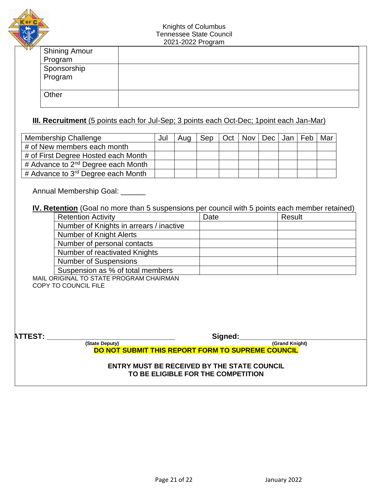

| <b>Shining Amour</b>   |  |
|------------------------|--|
| Program                |  |
|                        |  |
| Sponsorship<br>Program |  |
|                        |  |
| Other                  |  |
|                        |  |

#### **III. Recruitment** (5 points each for Jul-Sep; 3 points each Oct-Dec; 1 point each Jan-Mar)

| <b>Membership Challenge</b>                                | Jul | Aug | Sep   Oct   Nov   Dec   Jan   Feb |  |  | Mar |
|------------------------------------------------------------|-----|-----|-----------------------------------|--|--|-----|
| # of New members each month                                |     |     |                                   |  |  |     |
| # of First Degree Hosted each Month                        |     |     |                                   |  |  |     |
| # Advance to 2 <sup>nd</sup> Degree each Month             |     |     |                                   |  |  |     |
| $\frac{1}{4}$ Advance to 3 <sup>rd</sup> Degree each Month |     |     |                                   |  |  |     |

Annual Membership Goal: \_\_\_\_\_\_

#### **IV. Retention** (Goal no more than 5 suspensions per council with 5 points each member retained)

| <b>Retention Activity</b>               | Date | Result |
|-----------------------------------------|------|--------|
| Number of Knights in arrears / inactive |      |        |
| <b>Number of Knight Alerts</b>          |      |        |
| Number of personal contacts             |      |        |
| Number of reactivated Knights           |      |        |
| <b>Number of Suspensions</b>            |      |        |
| Suspension as % of total members        |      |        |

MAIL ORIGINAL TO STATE PROGRAM CHAIRMAN COPY TO COUNCIL FILE

**ATTEST: \_\_\_\_\_\_\_\_\_\_\_\_\_\_\_\_\_\_\_\_\_\_\_\_\_\_\_\_\_\_\_ Signed:\_\_\_\_\_\_\_\_\_\_\_\_\_\_\_\_\_\_\_\_\_\_\_\_\_\_\_\_\_\_\_\_\_ (State Deputy) DO NOT SUBMIT THIS REPORT FORM TO SUPREME COUNCIL**

> **ENTRY MUST BE RECEIVED BY THE STATE COUNCIL TO BE ELIGIBLE FOR THE COMPETITION**